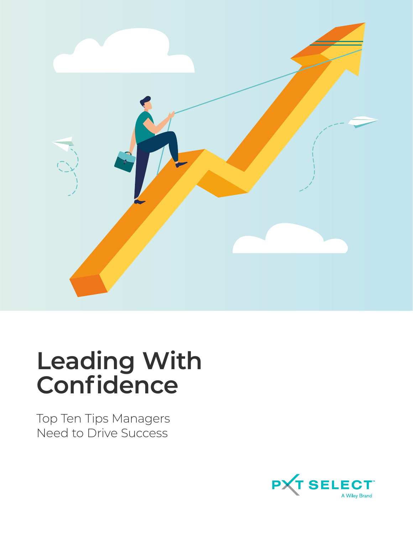

# **Leading With Confidence**

Top Ten Tips Managers Need to Drive Success

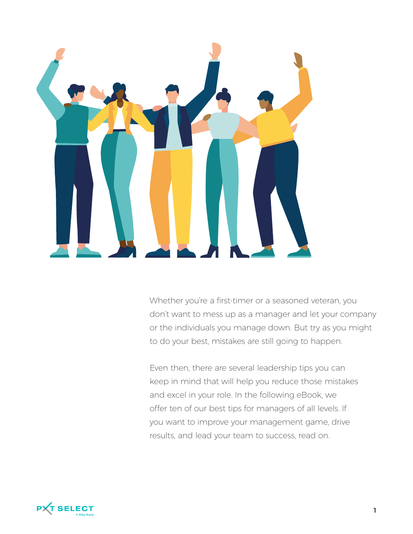

Whether you're a first-timer or a seasoned veteran, you don't want to mess up as a manager and let your company or the individuals you manage down. But try as you might to do your best, mistakes are still going to happen.

Even then, there are several leadership tips you can keep in mind that will help you reduce those mistakes and excel in your role. In the following eBook, we offer ten of our best tips for managers of all levels. If you want to improve your management game, drive results, and lead your team to success, read on.

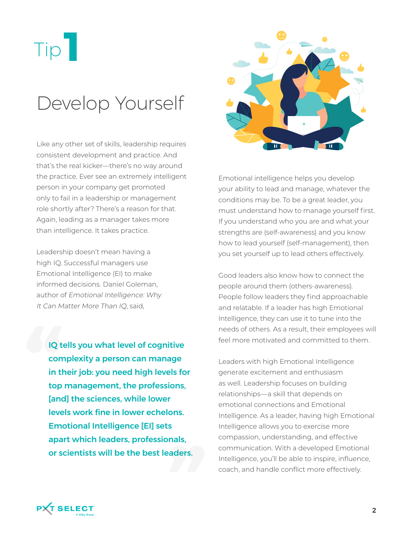

#### Develop Yourself

Like any other set of skills, leadership requires consistent development and practice. And that's the real kicker—there's no way around the practice. Ever see an extremely intelligent person in your company get promoted only to fail in a leadership or management role shortly after? There's a reason for that. Again, leading as a manager takes more than intelligence. It takes practice.

Leadership doesn't mean having a high IQ. Successful managers use Emotional Intelligence (EI) to make informed decisions. Daniel Goleman, author of Emotional Intelligence: Why It Can Matter More Than IQ, said,

IQ tells you what level of cognitive complexity a person can manage in their job: you need high levels for top management, the professions, [and] the sciences, while lower levels work fine in lower echelons. Emotional Intelligence [EI] sets apart which leaders, professionals, or scientists will be the best leaders.



Emotional intelligence helps you develop your ability to lead and manage, whatever the conditions may be. To be a great leader, you must understand how to manage yourself first. If you understand who you are and what your strengths are (self-awareness) and you know how to lead yourself (self-management), then you set yourself up to lead others effectively.

Good leaders also know how to connect the people around them (others-awareness). People follow leaders they find approachable and relatable. If a leader has high Emotional Intelligence, they can use it to tune into the needs of others. As a result, their employees will feel more motivated and committed to them.

Leaders with high Emotional Intelligence generate excitement and enthusiasm as well. Leadership focuses on building relationships—a skill that depends on emotional connections and Emotional Intelligence. As a leader, having high Emotional Intelligence allows you to exercise more compassion, understanding, and effective communication. With a developed Emotional Intelligence, you'll be able to inspire, influence, coach, and handle conflict more effectively.

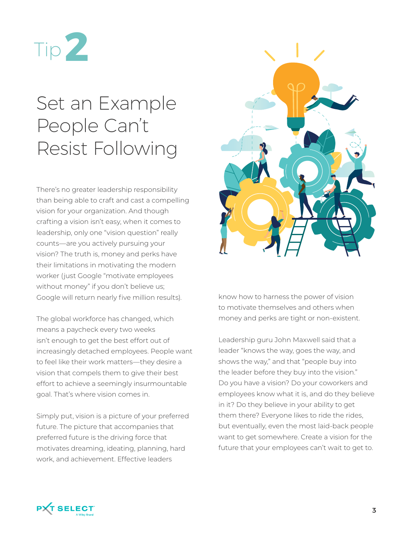

#### Set an Example People Can't Resist Following

There's no greater leadership responsibility than being able to craft and cast a compelling vision for your organization. And though crafting a vision isn't easy, when it comes to leadership, only one "vision question" really counts—are you actively pursuing your vision? The truth is, money and perks have their limitations in motivating the modern worker (just Google "motivate employees without money" if you don't believe us; Google will return nearly five million results).

The global workforce has changed, which means a paycheck every two weeks isn't enough to get the best effort out of increasingly detached employees. People want to feel like their work matters—they desire a vision that compels them to give their best effort to achieve a seemingly insurmountable goal. That's where vision comes in.

Simply put, vision is a picture of your preferred future. The picture that accompanies that preferred future is the driving force that motivates dreaming, ideating, planning, hard work, and achievement. Effective leaders



know how to harness the power of vision to motivate themselves and others when money and perks are tight or non-existent.

Leadership guru John Maxwell said that a leader "knows the way, goes the way, and shows the way," and that "people buy into the leader before they buy into the vision." Do you have a vision? Do your coworkers and employees know what it is, and do they believe in it? Do they believe in your ability to get them there? Everyone likes to ride the rides, but eventually, even the most laid-back people want to get somewhere. Create a vision for the future that your employees can't wait to get to.

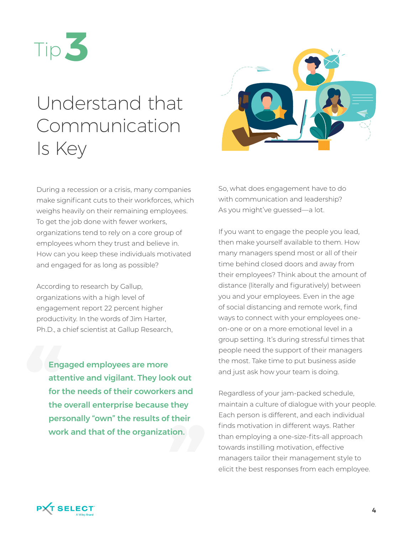

### Understand that Communication Is Key



During a recession or a crisis, many companies make significant cuts to their workforces, which weighs heavily on their remaining employees. To get the job done with fewer workers, organizations tend to rely on a core group of employees whom they trust and believe in. How can you keep these individuals motivated and engaged for as long as possible?

According to research by Gallup, organizations with a high level of engagement report 22 percent higher productivity. In the words of Jim Harter, Ph.D., a chief scientist at Gallup Research,

Engaged employees are more attentive and vigilant. They look out for the needs of their coworkers and the overall enterprise because they personally "own" the results of their work and that of the organization.

So, what does engagement have to do with communication and leadership? As you might've guessed—a lot.

If you want to engage the people you lead, then make yourself available to them. How many managers spend most or all of their time behind closed doors and away from their employees? Think about the amount of distance (literally and figuratively) between you and your employees. Even in the age of social distancing and remote work, find ways to connect with your employees oneon-one or on a more emotional level in a group setting. It's during stressful times that people need the support of their managers the most. Take time to put business aside and just ask how your team is doing.

Regardless of your jam-packed schedule, maintain a culture of dialogue with your people. Each person is different, and each individual finds motivation in different ways. Rather than employing a one-size-fits-all approach towards instilling motivation, effective managers tailor their management style to elicit the best responses from each employee.

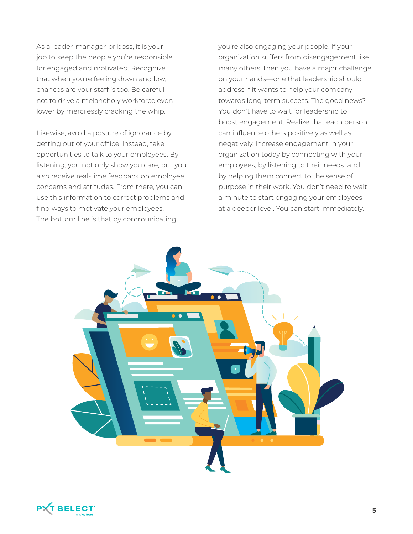As a leader, manager, or boss, it is your job to keep the people you're responsible for engaged and motivated. Recognize that when you're feeling down and low, chances are your staff is too. Be careful not to drive a melancholy workforce even lower by mercilessly cracking the whip.

Likewise, avoid a posture of ignorance by getting out of your office. Instead, take opportunities to talk to your employees. By listening, you not only show you care, but you also receive real-time feedback on employee concerns and attitudes. From there, you can use this information to correct problems and find ways to motivate your employees. The bottom line is that by communicating,

you're also engaging your people. If your organization suffers from disengagement like many others, then you have a major challenge on your hands—one that leadership should address if it wants to help your company towards long-term success. The good news? You don't have to wait for leadership to boost engagement. Realize that each person can influence others positively as well as negatively. Increase engagement in your organization today by connecting with your employees, by listening to their needs, and by helping them connect to the sense of purpose in their work. You don't need to wait a minute to start engaging your employees at a deeper level. You can start immediately.



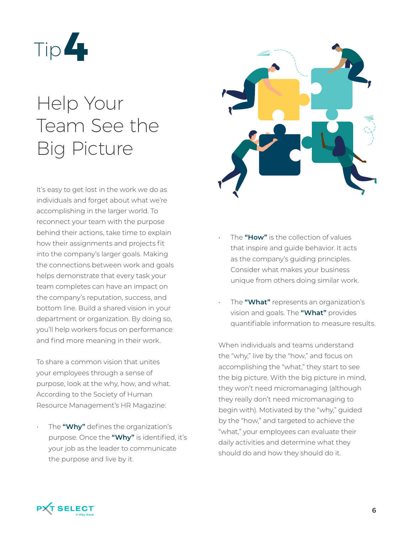

### Help Your Team See the Big Picture

It's easy to get lost in the work we do as individuals and forget about what we're accomplishing in the larger world. To reconnect your team with the purpose behind their actions, take time to explain how their assignments and projects fit into the company's larger goals. Making the connections between work and goals helps demonstrate that every task your team completes can have an impact on the company's reputation, success, and bottom line. Build a shared vision in your department or organization. By doing so, you'll help workers focus on performance and find more meaning in their work.

To share a common vision that unites your employees through a sense of purpose, look at the why, how, and what. According to the Society of Human Resource Management's HR Magazine:

• The **"Why"** defines the organization's purpose. Once the **"Why"** is identified, it's your job as the leader to communicate the purpose and live by it.



- The **"How"** is the collection of values that inspire and guide behavior. It acts as the company's guiding principles. Consider what makes your business unique from others doing similar work.
- The **"What"** represents an organization's vision and goals. The **"What"** provides quantifiable information to measure results.

When individuals and teams understand the "why," live by the "how," and focus on accomplishing the "what," they start to see the big picture. With the big picture in mind, they won't need micromanaging (although they really don't need micromanaging to begin with). Motivated by the "why," guided by the "how," and targeted to achieve the "what," your employees can evaluate their daily activities and determine what they should do and how they should do it.

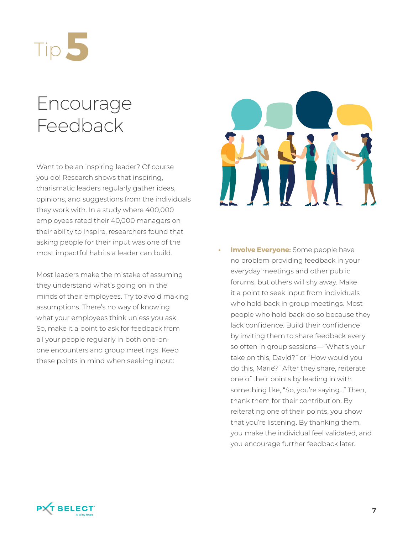

#### Encourage Feedback

Want to be an inspiring leader? Of course you do! Research shows that inspiring, charismatic leaders regularly gather ideas, opinions, and suggestions from the individuals they work with. In a study where 400,000 employees rated their 40,000 managers on their ability to inspire, researchers found that asking people for their input was one of the most impactful habits a leader can build.

Most leaders make the mistake of assuming they understand what's going on in the minds of their employees. Try to avoid making assumptions. There's no way of knowing what your employees think unless you ask. So, make it a point to ask for feedback from all your people regularly in both one-onone encounters and group meetings. Keep these points in mind when seeking input:



**Involve Everyone:** Some people have no problem providing feedback in your everyday meetings and other public forums, but others will shy away. Make it a point to seek input from individuals who hold back in group meetings. Most people who hold back do so because they lack confidence. Build their confidence by inviting them to share feedback every so often in group sessions—"What's your take on this, David?" or "How would you do this, Marie?" After they share, reiterate one of their points by leading in with something like, "So, you're saying…" Then, thank them for their contribution. By reiterating one of their points, you show that you're listening. By thanking them, you make the individual feel validated, and you encourage further feedback later.

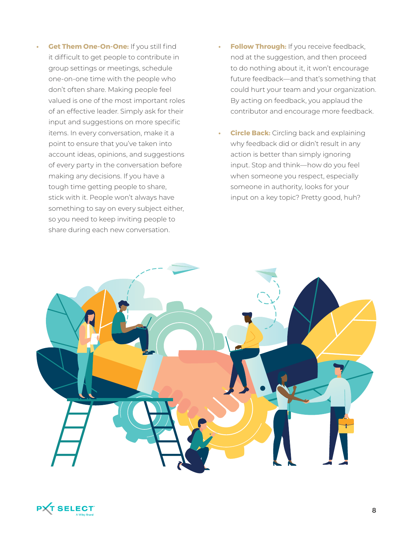- **• Get Them One-On-One:** If you still find it difficult to get people to contribute in group settings or meetings, schedule one-on-one time with the people who don't often share. Making people feel valued is one of the most important roles of an effective leader. Simply ask for their input and suggestions on more specific items. In every conversation, make it a point to ensure that you've taken into account ideas, opinions, and suggestions of every party in the conversation before making any decisions. If you have a tough time getting people to share, stick with it. People won't always have something to say on every subject either, so you need to keep inviting people to share during each new conversation.
- **• Follow Through:** If you receive feedback, nod at the suggestion, and then proceed to do nothing about it, it won't encourage future feedback—and that's something that could hurt your team and your organization. By acting on feedback, you applaud the contributor and encourage more feedback.
- **Circle Back:** Circling back and explaining why feedback did or didn't result in any action is better than simply ignoring input. Stop and think—how do you feel when someone you respect, especially someone in authority, looks for your input on a key topic? Pretty good, huh?



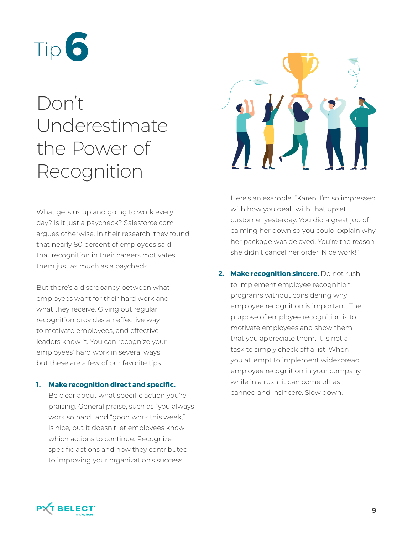

## Don't Underestimate the Power of Recognition

What gets us up and going to work every day? Is it just a paycheck? Salesforce.com argues otherwise. In their research, they found that nearly 80 percent of employees said that recognition in their careers motivates them just as much as a paycheck.

But there's a discrepancy between what employees want for their hard work and what they receive. Giving out regular recognition provides an effective way to motivate employees, and effective leaders know it. You can recognize your employees' hard work in several ways, but these are a few of our favorite tips:

#### **1. Make recognition direct and specific.**

Be clear about what specific action you're praising. General praise, such as "you always work so hard" and "good work this week," is nice, but it doesn't let employees know which actions to continue. Recognize specific actions and how they contributed to improving your organization's success.



Here's an example: "Karen, I'm so impressed with how you dealt with that upset customer yesterday. You did a great job of calming her down so you could explain why her package was delayed. You're the reason she didn't cancel her order. Nice work!"

**2. Make recognition sincere.** Do not rush to implement employee recognition programs without considering why employee recognition is important. The purpose of employee recognition is to motivate employees and show them that you appreciate them. It is not a task to simply check off a list. When you attempt to implement widespread employee recognition in your company while in a rush, it can come off as canned and insincere. Slow down.

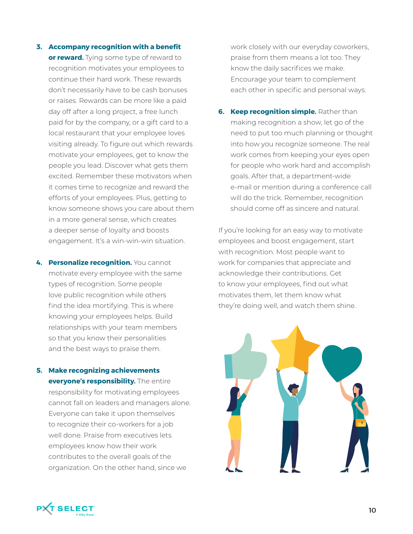- **3. Accompany recognition with a benefit or reward.** Tying some type of reward to recognition motivates your employees to continue their hard work. These rewards don't necessarily have to be cash bonuses or raises. Rewards can be more like a paid day off after a long project, a free lunch paid for by the company, or a gift card to a local restaurant that your employee loves visiting already. To figure out which rewards motivate your employees, get to know the people you lead. Discover what gets them excited. Remember these motivators when it comes time to recognize and reward the efforts of your employees. Plus, getting to know someone shows you care about them in a more general sense, which creates a deeper sense of loyalty and boosts engagement. It's a win-win-win situation.
- **4. Personalize recognition.** You cannot motivate every employee with the same types of recognition. Some people love public recognition while others find the idea mortifying. This is where knowing your employees helps. Build relationships with your team members so that you know their personalities and the best ways to praise them.
- **5. Make recognizing achievements everyone's responsibility.** The entire responsibility for motivating employees cannot fall on leaders and managers alone. Everyone can take it upon themselves to recognize their co-workers for a job well done. Praise from executives lets employees know how their work contributes to the overall goals of the organization. On the other hand, since we

work closely with our everyday coworkers, praise from them means a lot too. They know the daily sacrifices we make. Encourage your team to complement each other in specific and personal ways.

**6. Keep recognition simple.** Rather than making recognition a show, let go of the need to put too much planning or thought into how you recognize someone. The real work comes from keeping your eyes open for people who work hard and accomplish goals. After that, a department-wide e-mail or mention during a conference call will do the trick. Remember, recognition should come off as sincere and natural.

If you're looking for an easy way to motivate employees and boost engagement, start with recognition. Most people want to work for companies that appreciate and acknowledge their contributions. Get to know your employees, find out what motivates them, let them know what they're doing well, and watch them shine.



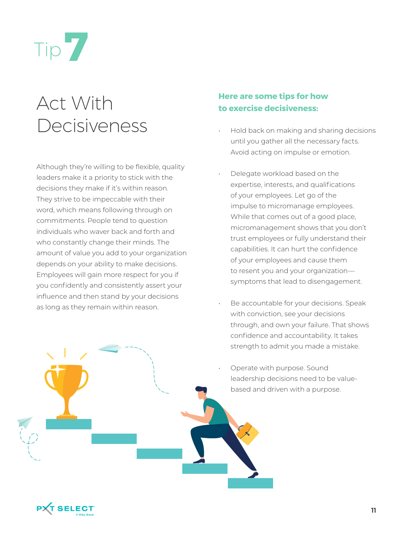

#### Act With Decisiveness

Although they're willing to be flexible, quality leaders make it a priority to stick with the decisions they make if it's within reason. They strive to be impeccable with their word, which means following through on commitments. People tend to question individuals who waver back and forth and who constantly change their minds. The amount of value you add to your organization depends on your ability to make decisions. Employees will gain more respect for you if you confidently and consistently assert your influence and then stand by your decisions as long as they remain within reason.

#### **Here are some tips for how to exercise decisiveness:**

- Hold back on making and sharing decisions until you gather all the necessary facts. Avoid acting on impulse or emotion.
- Delegate workload based on the expertise, interests, and qualifications of your employees. Let go of the impulse to micromanage employees. While that comes out of a good place, micromanagement shows that you don't trust employees or fully understand their capabilities. It can hurt the confidence of your employees and cause them to resent you and your organization symptoms that lead to disengagement.
- Be accountable for your decisions. Speak with conviction, see your decisions through, and own your failure. That shows confidence and accountability. It takes strength to admit you made a mistake.
- Operate with purpose. Sound leadership decisions need to be valuebased and driven with a purpose.

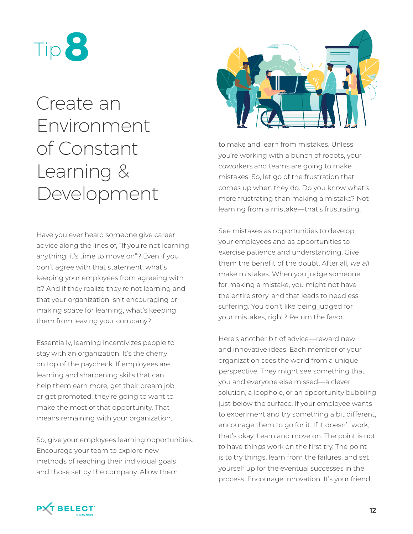

#### Create an Environment of Constant Learning & Development

Have you ever heard someone give career advice along the lines of, "If you're not learning anything, it's time to move on"? Even if you don't agree with that statement, what's keeping your employees from agreeing with it? And if they realize they're not learning and that your organization isn't encouraging or making space for learning, what's keeping them from leaving your company?

Essentially, learning incentivizes people to stay with an organization. It's the cherry on top of the paycheck. If employees are learning and sharpening skills that can help them earn more, get their dream job, or get promoted, they're going to want to make the most of that opportunity. That means remaining with your organization.

So, give your employees learning opportunities. Encourage your team to explore new methods of reaching their individual goals and those set by the company. Allow them



to make and learn from mistakes. Unless you're working with a bunch of robots, your coworkers and teams are going to make mistakes. So, let go of the frustration that comes up when they do. Do you know what's more frustrating than making a mistake? Not learning from a mistake—that's frustrating.

See mistakes as opportunities to develop your employees and as opportunities to exercise patience and understanding. Give them the benefit of the doubt. After all, we all make mistakes. When you judge someone for making a mistake, you might not have the entire story, and that leads to needless suffering. You don't like being judged for your mistakes, right? Return the favor.

Here's another bit of advice—reward new and innovative ideas. Each member of your organization sees the world from a unique perspective. They might see something that you and everyone else missed—a clever solution, a loophole, or an opportunity bubbling just below the surface. If your employee wants to experiment and try something a bit different, encourage them to go for it. If it doesn't work, that's okay. Learn and move on. The point is not to have things work on the first try. The point is to try things, learn from the failures, and set yourself up for the eventual successes in the process. Encourage innovation. It's your friend.

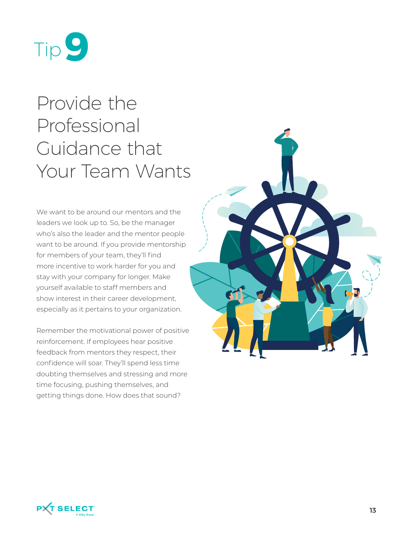

## Provide the Professional Guidance that Your Team Wants

We want to be around our mentors and the leaders we look up to. So, be the manager who's also the leader and the mentor people want to be around. If you provide mentorship for members of your team, they'll find more incentive to work harder for you and stay with your company for longer. Make yourself available to staff members and show interest in their career development, especially as it pertains to your organization.

Remember the motivational power of positive reinforcement. If employees hear positive feedback from mentors they respect, their confidence will soar. They'll spend less time doubting themselves and stressing and more time focusing, pushing themselves, and getting things done. How does that sound?



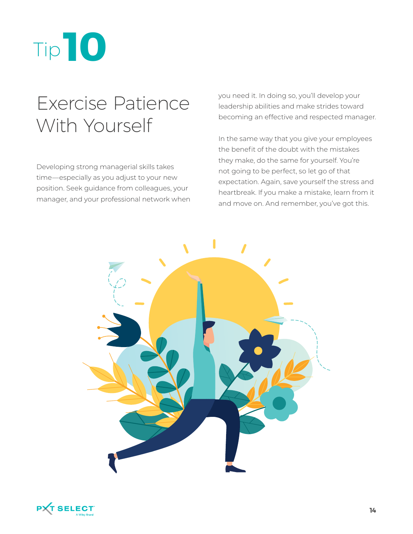

#### Exercise Patience With Yourself

Developing strong managerial skills takes time—especially as you adjust to your new position. Seek guidance from colleagues, your manager, and your professional network when you need it. In doing so, you'll develop your leadership abilities and make strides toward becoming an effective and respected manager.

In the same way that you give your employees the benefit of the doubt with the mistakes they make, do the same for yourself. You're not going to be perfect, so let go of that expectation. Again, save yourself the stress and heartbreak. If you make a mistake, learn from it and move on. And remember, you've got this.



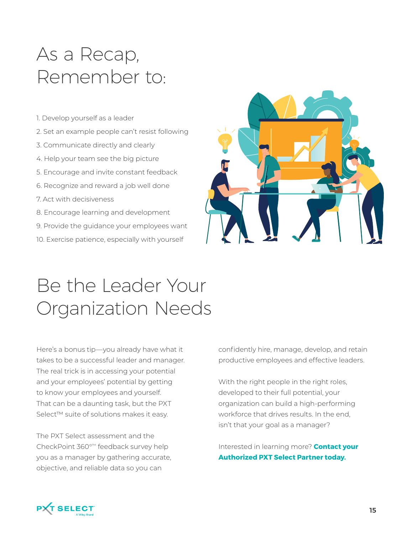#### As a Recap, Remember to:

- 1. Develop yourself as a leader
- 2. Set an example people can't resist following
- 3. Communicate directly and clearly
- 4. Help your team see the big picture
- 5. Encourage and invite constant feedback
- 6. Recognize and reward a job well done
- 7. Act with decisiveness
- 8. Encourage learning and development
- 9. Provide the guidance your employees want
- 10. Exercise patience, especially with yourself



#### Be the Leader Your Organization Needs

Here's a bonus tip—you already have what it takes to be a successful leader and manager. The real trick is in accessing your potential and your employees' potential by getting to know your employees and yourself. That can be a daunting task, but the PXT Select™ suite of solutions makes it easy.

The PXT Select assessment and the CheckPoint 360°™ feedback survey help you as a manager by gathering accurate, objective, and reliable data so you can

confidently hire, manage, develop, and retain productive employees and effective leaders.

With the right people in the right roles, developed to their full potential, your organization can build a high-performing workforce that drives results. In the end, isn't that your goal as a manager?

Interested in learning more? **Contact your Authorized PXT Select Partner today.**